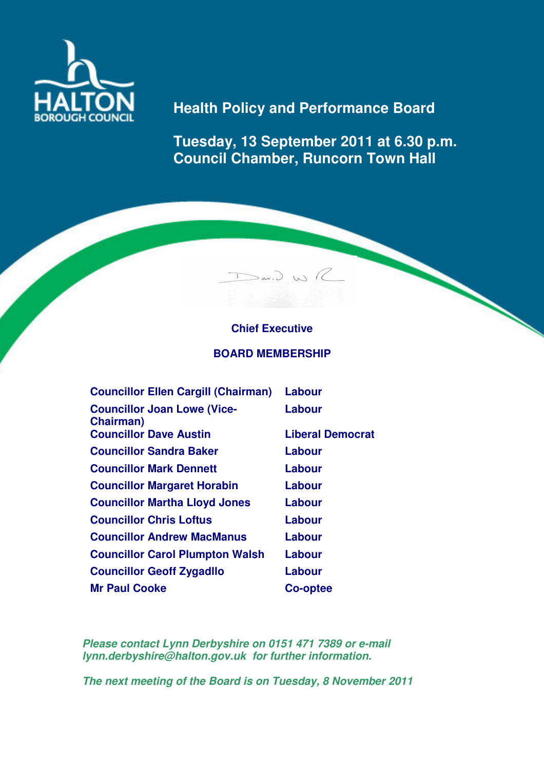

## **Health Policy and Performance Board**

**Tuesday, 13 September 2011 at 6.30 p.m. Council Chamber, Runcorn Town Hall** 

## **Chief Executive**

 $D_{\omega}$ 

## **BOARD MEMBERSHIP**

| <b>Councillor Ellen Cargill (Chairman)</b>      | Labour                  |
|-------------------------------------------------|-------------------------|
| <b>Councillor Joan Lowe (Vice-</b><br>Chairman) | Labour                  |
| <b>Councillor Dave Austin</b>                   | <b>Liberal Democrat</b> |
| <b>Councillor Sandra Baker</b>                  | Labour                  |
| <b>Councillor Mark Dennett</b>                  | Labour                  |
| <b>Councillor Margaret Horabin</b>              | Labour                  |
| <b>Councillor Martha Lloyd Jones</b>            | Labour                  |
| <b>Councillor Chris Loftus</b>                  | Labour                  |
| <b>Councillor Andrew MacManus</b>               | Labour                  |
| <b>Councillor Carol Plumpton Walsh</b>          | Labour                  |
| <b>Councillor Geoff Zygadllo</b>                | Labour                  |
| <b>Mr Paul Cooke</b>                            | Co-optee                |

**Please contact Lynn Derbyshire on 0151 471 7389 or e-mail lynn.derbyshire@halton.gov.uk for further information.** 

**The next meeting of the Board is on Tuesday, 8 November 2011**